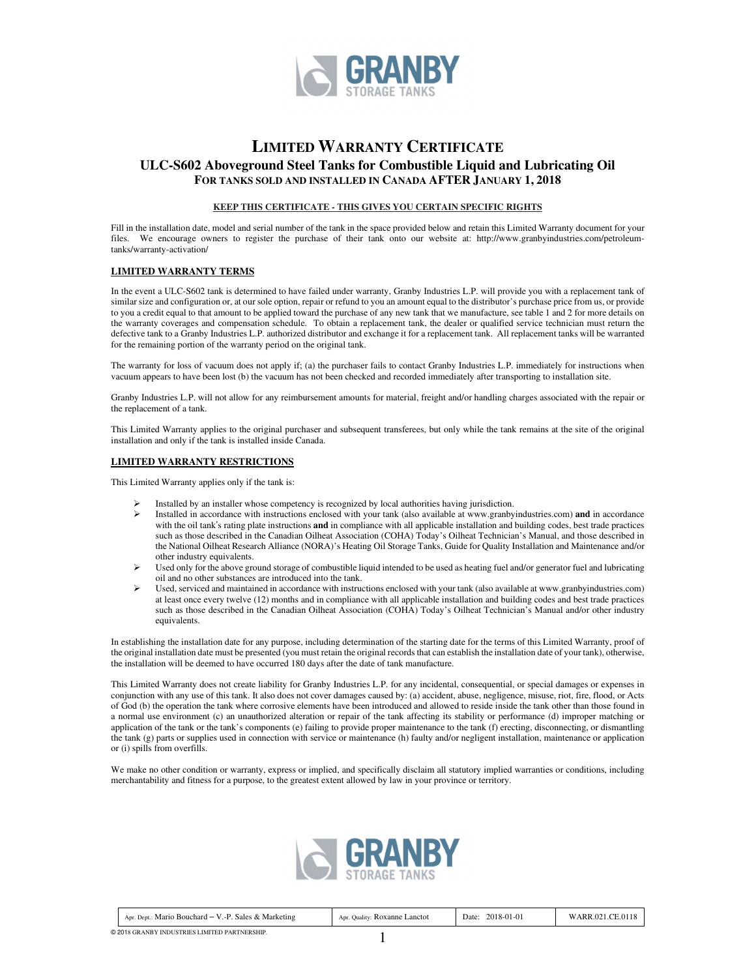

# **LIMITED WARRANTY CERTIFICATE**

## **ULC-S602 Aboveground Steel Tanks for Combustible Liquid and Lubricating Oil FOR TANKS SOLD AND INSTALLED IN CANADA AFTER JANUARY 1, 2018**

#### **KEEP THIS CERTIFICATE - THIS GIVES YOU CERTAIN SPECIFIC RIGHTS**

Fill in the installation date, model and serial number of the tank in the space provided below and retain this Limited Warranty document for your files. We encourage owners to register the purchase of their tank onto our website at: http://www.granbyindustries.com/petroleumtanks/warranty-activation/

#### **LIMITED WARRANTY TERMS**

In the event a ULC-S602 tank is determined to have failed under warranty, Granby Industries L.P. will provide you with a replacement tank of similar size and configuration or, at our sole option, repair or refund to you an amount equal to the distributor's purchase price from us, or provide to you a credit equal to that amount to be applied toward the purchase of any new tank that we manufacture, see table 1 and 2 for more details on the warranty coverages and compensation schedule. To obtain a replacement tank, the dealer or qualified service technician must return the defective tank to a Granby Industries L.P. authorized distributor and exchange it for a replacement tank. All replacement tanks will be warranted for the remaining portion of the warranty period on the original tank.

The warranty for loss of vacuum does not apply if; (a) the purchaser fails to contact Granby Industries L.P. immediately for instructions when vacuum appears to have been lost (b) the vacuum has not been checked and recorded immediately after transporting to installation site.

Granby Industries L.P. will not allow for any reimbursement amounts for material, freight and/or handling charges associated with the repair or the replacement of a tank.

This Limited Warranty applies to the original purchaser and subsequent transferees, but only while the tank remains at the site of the original installation and only if the tank is installed inside Canada.

#### **LIMITED WARRANTY RESTRICTIONS**

This Limited Warranty applies only if the tank is:

- Installed by an installer whose competency is recognized by local authorities having jurisdiction.<br>
Installed in accordance with instructions enclosed with your tank (also available at www.granbyi
- Installed in accordance with instructions enclosed with your tank (also available at www.granbyindustries.com) **and** in accordance with the oil tank's rating plate instructions **and** in compliance with all applicable installation and building codes, best trade practices such as those described in the Canadian Oilheat Association (COHA) Today's Oilheat Technician's Manual, and those described in the National Oilheat Research Alliance (NORA)'s Heating Oil Storage Tanks, Guide for Quality Installation and Maintenance and/or other industry equivalents.
- Used only for the above ground storage of combustible liquid intended to be used as heating fuel and/or generator fuel and lubricating oil and no other substances are introduced into the tank.
- Used, serviced and maintained in accordance with instructions enclosed with your tank (also available at www.granbyindustries.com) at least once every twelve (12) months and in compliance with all applicable installation and building codes and best trade practices such as those described in the Canadian Oilheat Association (COHA) Today's Oilheat Technician's Manual and/or other industry equivalents.

In establishing the installation date for any purpose, including determination of the starting date for the terms of this Limited Warranty, proof of the original installation date must be presented (you must retain the original records that can establish the installation date of your tank), otherwise, the installation will be deemed to have occurred 180 days after the date of tank manufacture.

This Limited Warranty does not create liability for Granby Industries L.P. for any incidental, consequential, or special damages or expenses in conjunction with any use of this tank. It also does not cover damages caused by: (a) accident, abuse, negligence, misuse, riot, fire, flood, or Acts of God (b) the operation the tank where corrosive elements have been introduced and allowed to reside inside the tank other than those found in a normal use environment (c) an unauthorized alteration or repair of the tank affecting its stability or performance (d) improper matching or application of the tank or the tank's components (e) failing to provide proper maintenance to the tank (f) erecting, disconnecting, or dismantling the tank (g) parts or supplies used in connection with service or maintenance (h) faulty and/or negligent installation, maintenance or application or (i) spills from overfills.

We make no other condition or warranty, express or implied, and specifically disclaim all statutory implied warranties or conditions, including merchantability and fitness for a purpose, to the greatest extent allowed by law in your province or territory.